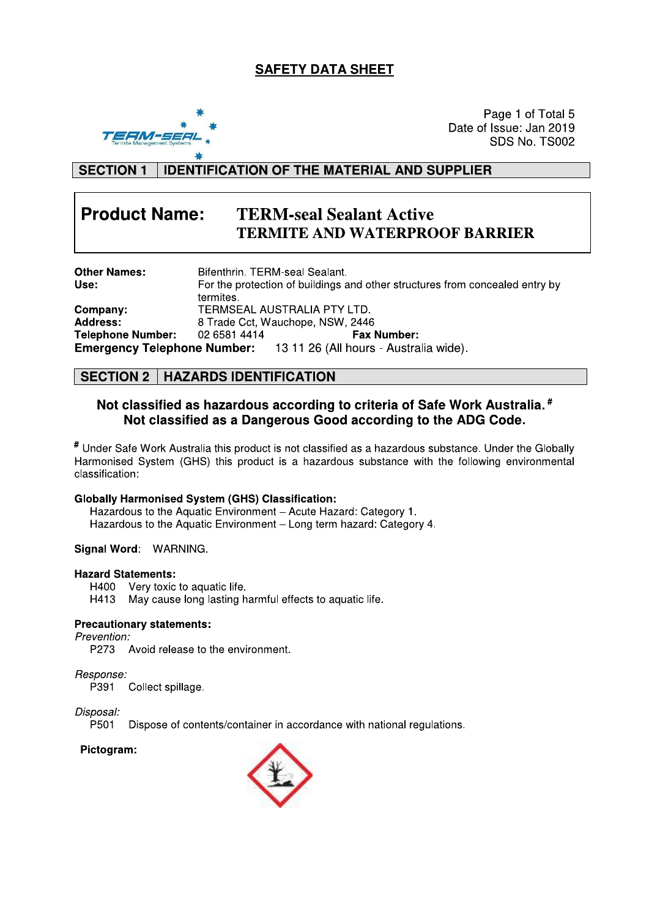# **SAFETY DATA SHEET**



Page 1 of Total 5 Date of Issue: Jan 2019 SDS No. TS002

#### **IDENTIFICATION OF THE MATERIAL AND SUPPLIER SECTION 1**

### **Product Name: TERM-seal Sealant Active TERMITE AND WATERPROOF BARRIER**

| <b>Other Names:</b>      | Bifenthrin, TERM-seal Sealant.                                               |                                                                           |  |
|--------------------------|------------------------------------------------------------------------------|---------------------------------------------------------------------------|--|
| Use:                     | For the protection of buildings and other structures from concealed entry by |                                                                           |  |
|                          | termites.                                                                    |                                                                           |  |
| Company:                 | TERMSEAL AUSTRALIA PTY LTD.                                                  |                                                                           |  |
| <b>Address:</b>          |                                                                              | 8 Trade Cct, Wauchope, NSW, 2446                                          |  |
| <b>Telephone Number:</b> | 02 6581 4414                                                                 | <b>Fax Number:</b>                                                        |  |
|                          |                                                                              | <b>Emergency Telephone Number:</b> 13 11 26 (All hours - Australia wide). |  |

# **SECTION 2 | HAZARDS IDENTIFICATION**

# Not classified as hazardous according to criteria of Safe Work Australia.<sup>#</sup> Not classified as a Dangerous Good according to the ADG Code.

# Under Safe Work Australia this product is not classified as a hazardous substance. Under the Globally Harmonised System (GHS) this product is a hazardous substance with the following environmental classification:

## **Globally Harmonised System (GHS) Classification:**

Hazardous to the Aquatic Environment - Acute Hazard: Category 1. Hazardous to the Aquatic Environment - Long term hazard: Category 4.

## Signal Word: WARNING.

### **Hazard Statements:**

H400 Very toxic to aquatic life.

May cause long lasting harmful effects to aquatic life. H413

## **Precautionary statements:**

# Prevention:

P273 Avoid release to the environment.

### Response:

P391 Collect spillage.

### Disposal:

P501 Dispose of contents/container in accordance with national regulations.

## Pictogram:

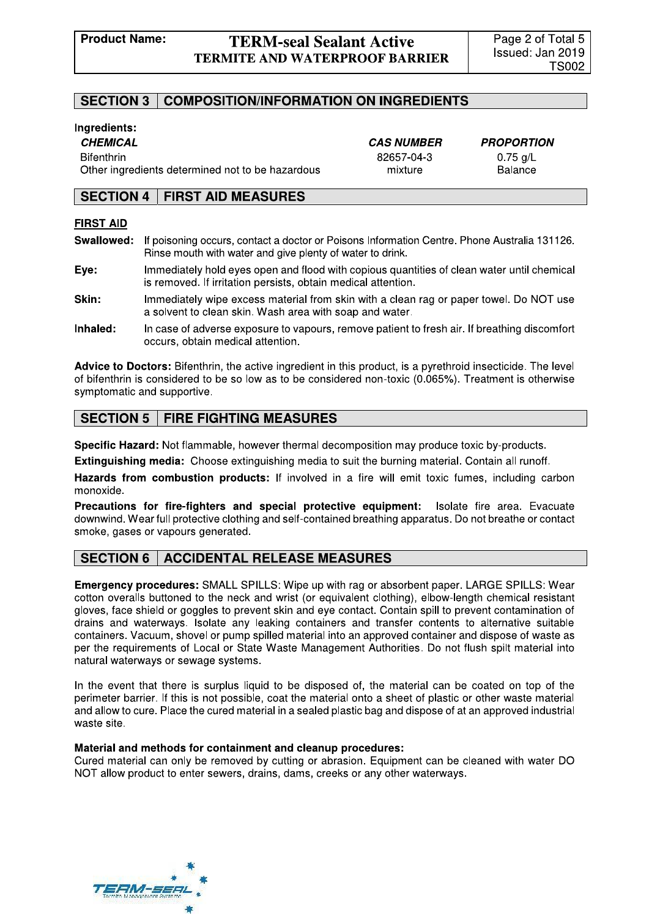# **TERM-seal Sealant Active TERMITE AND WATERPROOF BARRIER**

#### **SECTION 3 COMPOSITION/INFORMATION ON INGREDIENTS**

## Ingredients:

**CHEMICAL** 

**Bifenthrin** 

Other ingredients determined not to be hazardous

**CAS NUMBER** 82657-04-3 mixture

**PROPORTION**  $0.75$  g/L **Balance** 

#### **SECTION 4 FIRST AID MEASURES**

### **FIRST AID**

Swallowed: If poisoning occurs, contact a doctor or Poisons Information Centre. Phone Australia 131126. Rinse mouth with water and give plenty of water to drink.

Eye: Immediately hold eyes open and flood with copious quantities of clean water until chemical is removed. If irritation persists, obtain medical attention.

- Skin: Immediately wipe excess material from skin with a clean rag or paper towel. Do NOT use a solvent to clean skin. Wash area with soap and water.
- Inhaled: In case of adverse exposure to vapours, remove patient to fresh air. If breathing discomfort occurs, obtain medical attention.

Advice to Doctors: Bifenthrin, the active ingredient in this product, is a pyrethroid insecticide. The level of bifenthrin is considered to be so low as to be considered non-toxic (0.065%). Treatment is otherwise symptomatic and supportive.

#### **FIRE FIGHTING MEASURES SECTION 5**

Specific Hazard: Not flammable, however thermal decomposition may produce toxic by-products.

Extinguishing media: Choose extinguishing media to suit the burning material. Contain all runoff.

Hazards from combustion products: If involved in a fire will emit toxic fumes, including carbon monoxide.

Precautions for fire-fighters and special protective equipment: Isolate fire area. Evacuate downwind. Wear full protective clothing and self-contained breathing apparatus. Do not breathe or contact smoke, gases or vapours generated.

### **ACCIDENTAL RELEASE MEASURES SECTION 6**

Emergency procedures: SMALL SPILLS: Wipe up with rag or absorbent paper. LARGE SPILLS: Wear cotton overalls buttoned to the neck and wrist (or equivalent clothing), elbow-length chemical resistant gloves, face shield or goggles to prevent skin and eye contact. Contain spill to prevent contamination of drains and waterways. Isolate any leaking containers and transfer contents to alternative suitable containers. Vacuum, shovel or pump spilled material into an approved container and dispose of waste as per the requirements of Local or State Waste Management Authorities. Do not flush spilt material into natural waterways or sewage systems.

In the event that there is surplus liquid to be disposed of, the material can be coated on top of the perimeter barrier. If this is not possible, coat the material onto a sheet of plastic or other waste material and allow to cure. Place the cured material in a sealed plastic bag and dispose of at an approved industrial waste site.

### Material and methods for containment and cleanup procedures:

Cured material can only be removed by cutting or abrasion. Equipment can be cleaned with water DO NOT allow product to enter sewers, drains, dams, creeks or any other waterways.

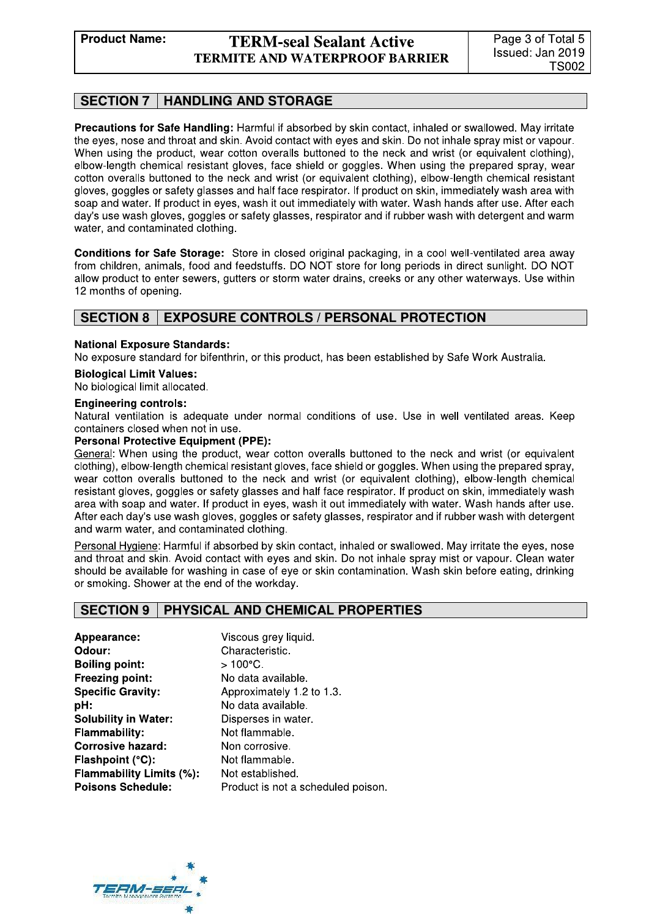# **TERM-seal Sealant Active TERMITE AND WATERPROOF BARRIER**

#### **SECTION 7 HANDLING AND STORAGE**

Precautions for Safe Handling: Harmful if absorbed by skin contact, inhaled or swallowed. May irritate the eves, nose and throat and skin. Avoid contact with eves and skin. Do not inhale spray mist or vapour. When using the product, wear cotton overalls buttoned to the neck and wrist (or equivalent clothing). elbow-length chemical resistant gloves, face shield or goggles. When using the prepared spray, wear cotton overalls buttoned to the neck and wrist (or equivalent clothing), elbow-length chemical resistant gloves, goggles or safety glasses and half face respirator. If product on skin, immediately wash area with soap and water. If product in eyes, wash it out immediately with water. Wash hands after use. After each day's use wash gloves, goggles or safety glasses, respirator and if rubber wash with detergent and warm water, and contaminated clothing.

Conditions for Safe Storage: Store in closed original packaging, in a cool well-ventilated area away from children, animals, food and feedstuffs. DO NOT store for long periods in direct sunlight. DO NOT allow product to enter sewers, gutters or storm water drains, creeks or any other waterways. Use within 12 months of opening.

#### **SECTION 8 EXPOSURE CONTROLS / PERSONAL PROTECTION**

### **National Exposure Standards:**

No exposure standard for bifenthrin, or this product, has been established by Safe Work Australia.

### **Biological Limit Values:**

No biological limit allocated.

### **Engineering controls:**

Natural ventilation is adequate under normal conditions of use. Use in well ventilated areas. Keep containers closed when not in use.

### **Personal Protective Equipment (PPE):**

General: When using the product, wear cotton overalls buttoned to the neck and wrist (or equivalent clothing), elbow-length chemical resistant gloves, face shield or goggles. When using the prepared spray, wear cotton overalls buttoned to the neck and wrist (or equivalent clothing), elbow-length chemical resistant gloves, goggles or safety glasses and half face respirator. If product on skin, immediately wash area with soap and water. If product in eyes, wash it out immediately with water. Wash hands after use. After each day's use wash gloves, goggles or safety glasses, respirator and if rubber wash with detergent and warm water, and contaminated clothing.

Personal Hygiene: Harmful if absorbed by skin contact, inhaled or swallowed. May irritate the eyes, nose and throat and skin. Avoid contact with eyes and skin. Do not inhale spray mist or vapour. Clean water should be available for washing in case of eye or skin contamination. Wash skin before eating, drinking or smoking. Shower at the end of the workday.

#### PHYSICAL AND CHEMICAL PROPERTIES **SECTION 9**

Appearance: Odour: **Boiling point:** Freezing point: **Specific Gravity:** pH: **Solubility in Water: Flammability: Corrosive hazard:** Flashpoint (°C): Flammability Limits (%): **Poisons Schedule:** 

Viscous grey liquid. Characteristic.  $>100^{\circ}$ C. No data available. Approximately 1.2 to 1.3. No data available. Disperses in water. Not flammable. Non corrosive. Not flammable. Not established. Product is not a scheduled poison.

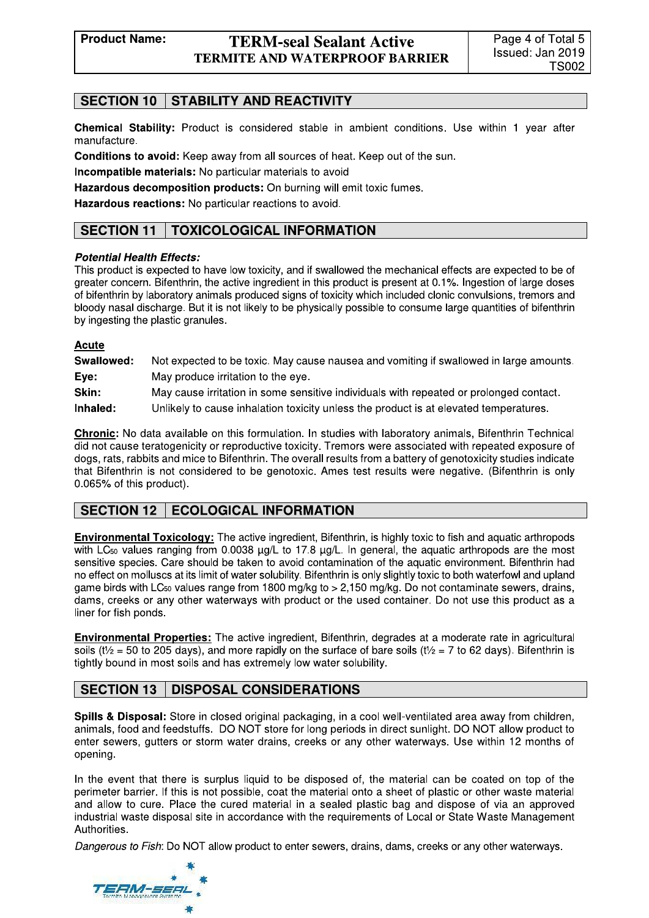# **SECTION 10 | STABILITY AND REACTIVITY**

Chemical Stability: Product is considered stable in ambient conditions. Use within 1 year after manufacture.

Conditions to avoid: Keep away from all sources of heat. Keep out of the sun.

Incompatible materials: No particular materials to avoid

Hazardous decomposition products: On burning will emit toxic fumes.

Hazardous reactions: No particular reactions to avoid.

### **TOXICOLOGICAL INFORMATION SECTION 11**

## **Potential Health Effects:**

This product is expected to have low toxicity, and if swallowed the mechanical effects are expected to be of greater concern. Bifenthrin, the active ingredient in this product is present at 0.1%. Ingestion of large doses of bifenthrin by laboratory animals produced signs of toxicity which included clonic convulsions, tremors and bloody nasal discharge. But it is not likely to be physically possible to consume large quantities of bifenthrin by ingesting the plastic granules.

# **Acute**

| Swallowed: | Not expected to be toxic. May cause nausea and vomiting if swallowed in large amounts. |
|------------|----------------------------------------------------------------------------------------|
| Eve:       | May produce irritation to the eye.                                                     |
| Skin:      | May cause irritation in some sensitive individuals with repeated or prolonged contact. |
| Inhaled:   | Unlikely to cause inhalation toxicity unless the product is at elevated temperatures.  |

**Chronic:** No data available on this formulation. In studies with laboratory animals, Bifenthrin Technical did not cause teratogenicity or reproductive toxicity. Tremors were associated with repeated exposure of dogs, rats, rabbits and mice to Bifenthrin. The overall results from a battery of genotoxicity studies indicate that Bifenthrin is not considered to be genotoxic. Ames test results were negative. (Bifenthrin is only 0.065% of this product).

### **SECTION 12 ECOLOGICAL INFORMATION**

**Environmental Toxicology:** The active ingredient, Bifenthrin, is highly toxic to fish and aquatic arthropods with LC<sub>50</sub> values ranging from 0.0038  $\mu$ g/L to 17.8  $\mu$ g/L. In general, the aquatic arthropods are the most sensitive species. Care should be taken to avoid contamination of the aquatic environment. Bifenthrin had no effect on molluscs at its limit of water solubility. Bifenthrin is only slightly toxic to both waterfowl and upland game birds with LC<sub>50</sub> values range from 1800 mg/kg to > 2,150 mg/kg. Do not contaminate sewers, drains, dams, creeks or any other waterways with product or the used container. Do not use this product as a liner for fish ponds.

**Environmental Properties:** The active ingredient, Bifenthrin, degrades at a moderate rate in agricultural soils ( $t\frac{1}{2}$  = 50 to 205 days), and more rapidly on the surface of bare soils ( $t\frac{1}{2}$  = 7 to 62 days). Bifenthrin is tightly bound in most soils and has extremely low water solubility.

### **SECTION 13 DISPOSAL CONSIDERATIONS**

Spills & Disposal: Store in closed original packaging, in a cool well-ventilated area away from children, animals, food and feedstuffs. DO NOT store for long periods in direct sunlight. DO NOT allow product to enter sewers, gutters or storm water drains, creeks or any other waterways. Use within 12 months of opening.

In the event that there is surplus liquid to be disposed of, the material can be coated on top of the perimeter barrier. If this is not possible, coat the material onto a sheet of plastic or other waste material and allow to cure. Place the cured material in a sealed plastic bag and dispose of via an approved industrial waste disposal site in accordance with the requirements of Local or State Waste Management Authorities.

Dangerous to Fish: Do NOT allow product to enter sewers, drains, dams, creeks or any other waterways.